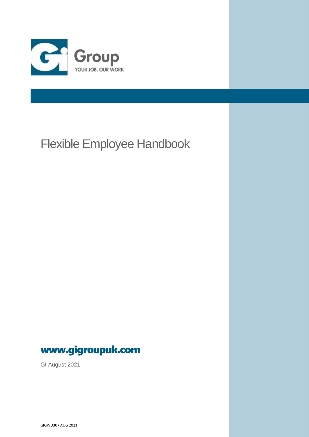

# Flexible Employee Handbook



GI August 2021

GIGWD307 AUG 2021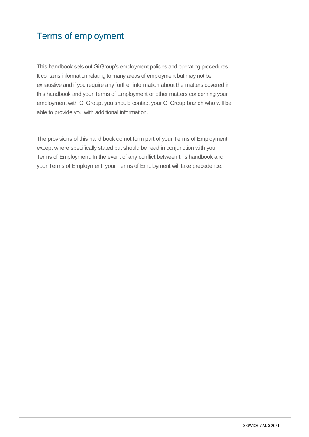# Terms of employment

This handbook sets out Gi Group's employment policies and operating procedures. It contains information relating to many areas of employment but may not be exhaustive and if you require any further information about the matters covered in this handbook and your Terms of Employment or other matters concerning your employment with Gi Group, you should contact your Gi Group branch who will be able to provide you with additional information.

The provisions of this hand book do not form part of your Terms of Employment except where specifically stated but should be read in conjunction with your Terms of Employment. In the event of any conflict between this handbook and your Terms of Employment, your Terms of Employment will take precedence.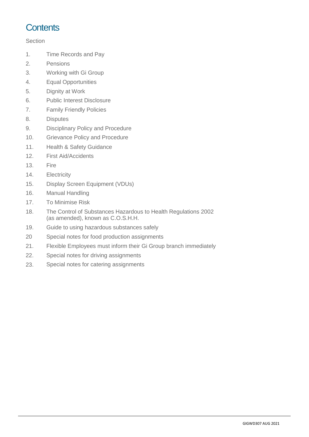## **Contents**

### **Section**

- 1. Time Records and Pay
- 2. Pensions
- 3. Working with Gi Group
- 4. Equal Opportunities
- 5. Dignity at Work
- 6. Public Interest Disclosure
- 7. Family Friendly Policies
- 8. Disputes
- 9. Disciplinary Policy and Procedure
- 10. Grievance Policy and Procedure
- 11. Health & Safety Guidance
- 12. First Aid/Accidents
- 13. Fire
- 14. Electricity
- 15. Display Screen Equipment (VDUs)
- 16. Manual Handling
- 17. To Minimise Risk
- 18. The Control of Substances Hazardous to Health Regulations 2002 (as amended), known as C.O.S.H.H.
- 19. Guide to using hazardous substances safely
- 20 Special notes for food production assignments
- 21. Flexible Employees must inform their Gi Group branch immediately
- 22. Special notes for driving assignments
- 23. Special notes for catering assignments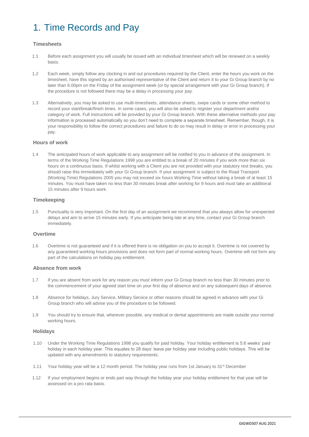# 1. Time Records and Pay

### **Timesheets**

- 1.1 Before each assignment you will usually be issued with an individual timesheet which will be renewed on a weekly basis.
- 1.2 Each week, simply follow any clocking in and out procedures required by the Client, enter the hours you work on the timesheet, have this signed by an authorised representative of the Client and return it to your Gi Group branch by no later than 6.00pm on the Friday of the assignment week (or by special arrangement with your Gi Group branch). If the procedure is not followed there may be a delay in processing your pay.
- 1.3 Alternatively, you may be asked to use multi-timesheets, attendance sheets, swipe cards or some other method to record your start/break/finish times. In some cases, you will also be asked to register your department and/or category of work. Full instructions will be provided by your Gi Group branch. With these alternative methods your pay information is processed automatically so you don't need to complete a separate timesheet. Remember, though, it is your responsibility to follow the correct procedures and failure to do so may result in delay or error in processing your pay.

#### **Hours of work**

1.4 The anticipated hours of work applicable to any assignment will be notified to you in advance of the assignment. In terms of the Working Time Regulations 1998 you are entitled to a break of 20 minutes if you work more than six hours on a continuous basis. If whilst working with a Client you are not provided with your statutory rest breaks, you should raise this immediately with your Gi Group branch. If your assignment is subject to the Road Transport (Working Time) Regulations 2005 you may not exceed six hours Working Time without taking a break of at least 15 minutes. You must have taken no less than 30 minutes break after working for 9 hours and must take an additional 15 minutes after 9 hours work.

#### **Timekeeping**

1.5 Punctuality is very important. On the first day of an assignment we recommend that you always allow for unexpected delays and aim to arrive 15 minutes early. If you anticipate being late at any time, contact your Gi Group branch immediately.

#### **Overtime**

1.6 Overtime is not guaranteed and if it is offered there is no obligation on you to accept it. Overtime is not covered by any guaranteed working hours provisions and does not form part of normal working hours. Overtime will not form any part of the calculations on holiday pay entitlement.

#### **Absence from work**

- 1.7 If you are absent from work for any reason you must inform your Gi Group branch no less than 30 minutes prior to the commencement of your agreed start time on your first day of absence and on any subsequent days of absence.
- 1.8 Absence for holidays, Jury Service, Military Service or other reasons should be agreed in advance with your Gi Group branch who will advise you of the procedure to be followed.
- 1.9 You should try to ensure that, wherever possible, any medical or dental appointments are made outside your normal working hours.

#### **Holidays**

- 1.10 Under the Working Time Regulations 1998 you qualify for paid holiday. Your holiday entitlement is 5.6 weeks' paid holiday in each holiday year. This equates to 28 days' leave per holiday year including public holidays. This will be updated with any amendments to statutory requirements.
- 1.11 Your holiday year will be a 12 month period. The holiday year runs from 1st January to 31<sup>st</sup> December
- 1.12 If your employment begins or ends part way through the holiday year your holiday entitlement for that year will be assessed on a pro rata basis.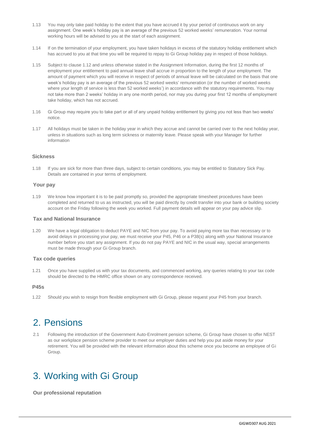- 1.13 You may only take paid holiday to the extent that you have accrued it by your period of continuous work on any assignment. One week's holiday pay is an average of the previous 52 worked weeks' remuneration. Your normal working hours will be advised to you at the start of each assignment.
- 1.14 If on the termination of your employment, you have taken holidays in excess of the statutory holiday entitlement which has accrued to you at that time you will be required to repay to Gi Group holiday pay in respect of those holidays.
- 1.15 Subject to clause 1.12 and unless otherwise stated in the Assignment Information, during the first 12 months of employment your entitlement to paid annual leave shall accrue in proportion to the length of your employment. The amount of payment which you will receive in respect of periods of annual leave will be calculated on the basis that one week's holiday pay is an average of the previous 52 worked weeks' remuneration (or the number of worked weeks where your length of service is less than 52 worked weeks') in accordance with the statutory requirements. You may not take more than 2 weeks' holiday in any one month period, nor may you during your first 12 months of employment take holiday, which has not accrued.
- 1.16 Gi Group may require you to take part or all of any unpaid holiday entitlement by giving you not less than two weeks' notice.
- 1.17 All holidays must be taken in the holiday year in which they accrue and cannot be carried over to the next holiday year, unless in situations such as long term sickness or maternity leave. Please speak with your Manager for further information

#### **Sickness**

1.18 If you are sick for more than three days, subject to certain conditions, you may be entitled to Statutory Sick Pay. Details are contained in your terms of employment.

#### **Your pay**

1.19 We know how important it is to be paid promptly so, provided the appropriate timesheet procedures have been completed and returned to us as instructed, you will be paid directly by credit transfer into your bank or building society account on the Friday following the week you worked. Full payment details will appear on your pay advice slip.

### **Tax and National Insurance**

1.20 We have a legal obligation to deduct PAYE and NIC from your pay. To avoid paying more tax than necessary or to avoid delays in processing your pay, we must receive your P45, P46 or a P38(s) along with your National Insurance number before you start any assignment. If you do not pay PAYE and NIC in the usual way, special arrangements must be made through your Gi Group branch.

#### **Tax code queries**

1.21 Once you have supplied us with your tax documents, and commenced working, any queries relating to your tax code should be directed to the HMRC office shown on any correspondence received.

#### **P45s**

1.22 Should you wish to resign from flexible employment with Gi Group, please request your P45 from your branch.

### 2. Pensions

2.1 Following the introduction of the Government Auto-Enrolment pension scheme, Gi Group have chosen to offer NEST as our workplace pension scheme provider to meet our employer duties and help you put aside money for your retirement. You will be provided with the relevant information about this scheme once you become an employee of Gi Group.

### 3. Working with Gi Group

**Our professional reputation**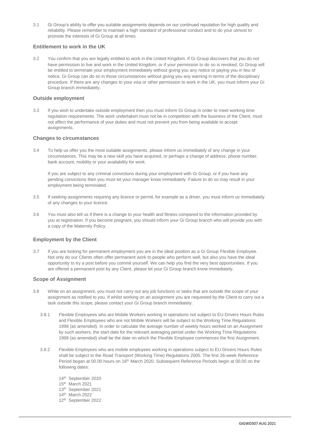3.1 Gi Group's ability to offer you suitable assignments depends on our continued reputation for high quality and reliability. Please remember to maintain a high standard of professional conduct and to do your utmost to promote the interests of Gi Group at all times.

### **Entitlement to work in the UK**

3.2 You confirm that you are legally entitled to work in the United Kingdom. If Gi Group discovers that you do not have permission to live and work in the United Kingdom, or if your permission to do so is revoked, Gi Group will be entitled to terminate your employment immediately without giving you any notice or paying you in lieu of notice. Gi Group can do so in those circumstances without giving you any warning in terms of the disciplinary procedure. If there are any changes to your visa or other permission to work in the UK, you must inform your Gi Group branch immediately.

#### **Outside employment**

3.3 If you wish to undertake outside employment then you must inform Gi Group in order to meet working time regulation requirements. The work undertaken must not be in competition with the business of the Client, must not affect the performance of your duties and must not prevent you from being available to accept assignments.

#### **Changes to circumstances**

3.4 To help us offer you the most suitable assignments, please inform us immediately of any change in your circumstances. This may be a new skill you have acquired, or perhaps a change of address, phone number, bank account, mobility or your availability for work.

If you are subject to any criminal convictions during your employment with Gi Group, or if you have any pending convictions then you must let your manager know immediately. Failure to do so may result in your employment being terminated.

- 3.5 If seeking assignments requiring any licence or permit, for example as a driver, you must inform us immediately of any changes to your licence.
- 3.6 You must also tell us if there is a change to your health and fitness compared to the information provided by you at registration. If you become pregnant, you should inform your Gi Group branch who will provide you with a copy of the Maternity Policy.

#### **Employment by the Client**

3.7 If you are looking for permanent employment you are in the ideal position as a Gi Group Flexible Employee. Not only do our Clients often offer permanent work to people who perform well, but also you have the ideal opportunity to try a post before you commit yourself. We can help you find the very best opportunities. If you are offered a permanent post by any Client, please let your Gi Group branch know immediately.

#### **Scope of Assignment**

- 3.8 While on an assignment, you must not carry out any job functions or tasks that are outside the scope of your assignment as notified to you. If whilst working on an assignment you are requested by the Client to carry out a task outside this scope, please contact your Gi Group branch immediately.
	- 3.8.1 Flexible Employees who are Mobile Workers working in operations not subject to EU Drivers Hours Rules and Flexible Employees who are not Mobile Workers will be subject to the Working Time Regulations 1998 (as amended). In order to calculate the average number of weekly hours worked on an Assignment by such workers, the start date for the relevant averaging period under the Working Time Regulations 1998 (as amended) shall be the date on which the Flexible Employee commences the first Assignment.
	- 3.8.2 Flexible Employees who are mobile employees working in operations subject to EU Drivers Hours Rules shall be subject to the Road Transport (Working Time) Regulations 2005. The first 26-week Reference Period began at 00.00 hours on 16<sup>th</sup> March 2020. Subsequent Reference Periods begin at 00.00 on the following dates:
		- 14th September 2020
		- 15 th March 2021
		- 13th September 2021
		- 14th March 2022
		- 12th September 2022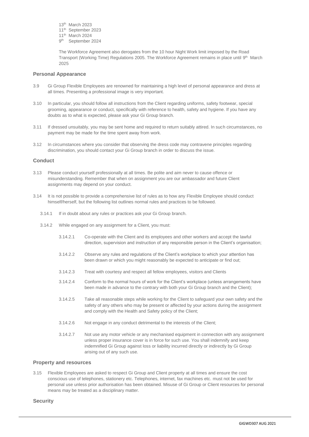- 13th March 2023
- 11th September 2023
- 11th March 2024
- 9<sup>th</sup> September 2024

The Workforce Agreement also derogates from the 10 hour Night Work limit imposed by the Road Transport (Working Time) Regulations 2005. The Workforce Agreement remains in place until 9<sup>th</sup> March 2025

#### **Personal Appearance**

- 3.9 Gi Group Flexible Employees are renowned for maintaining a high level of personal appearance and dress at all times. Presenting a professional image is very important.
- 3.10 In particular, you should follow all instructions from the Client regarding uniforms, safety footwear, special grooming, appearance or conduct, specifically with reference to health, safety and hygiene. If you have any doubts as to what is expected, please ask your Gi Group branch.
- 3.11 If dressed unsuitably, you may be sent home and required to return suitably attired. In such circumstances, no payment may be made for the time spent away from work.
- 3.12 In circumstances where you consider that observing the dress code may contravene principles regarding discrimination, you should contact your Gi Group branch in order to discuss the issue.

#### **Conduct**

- 3.13 Please conduct yourself professionally at all times. Be polite and aim never to cause offence or misunderstanding. Remember that when on assignment you are our ambassador and future Client assignments may depend on your conduct.
- 3.14 It is not possible to provide a comprehensive list of rules as to how any Flexible Employee should conduct himself/herself, but the following list outlines normal rules and practices to be followed.
	- 3.14.1 If in doubt about any rules or practices ask your Gi Group branch.
	- 3.14.2 While engaged on any assignment for a Client, you must:
		- 3.14.2.1 Co-operate with the Client and its employees and other workers and accept the lawful direction, supervision and instruction of any responsible person in the Client's organisation;
		- 3.14.2.2 Observe any rules and regulations of the Client's workplace to which your attention has been drawn or which you might reasonably be expected to anticipate or find out;
		- 3.14.2.3 Treat with courtesy and respect all fellow employees, visitors and Clients
		- 3.14.2.4 Conform to the normal hours of work for the Client's workplace (unless arrangements have been made in advance to the contrary with both your Gi Group branch and the Client);
		- 3.14.2.5 Take all reasonable steps while working for the Client to safeguard your own safety and the safety of any others who may be present or affected by your actions during the assignment and comply with the Health and Safety policy of the Client;
		- 3.14.2.6 Not engage in any conduct detrimental to the interests of the Client;
		- 3.14.2.7 Not use any motor vehicle or any mechanised equipment in connection with any assignment unless proper insurance cover is in force for such use. You shall indemnify and keep indemnified Gi Group against loss or liability incurred directly or indirectly by Gi Group arising out of any such use.

#### **Property and resources**

3.15 Flexible Employees are asked to respect Gi Group and Client property at all times and ensure the cost conscious use of telephones, stationery etc. Telephones, internet, fax machines etc. must not be used for personal use unless prior authorisation has been obtained. Misuse of Gi Group or Client resources for personal means may be treated as a disciplinary matter.

**Security**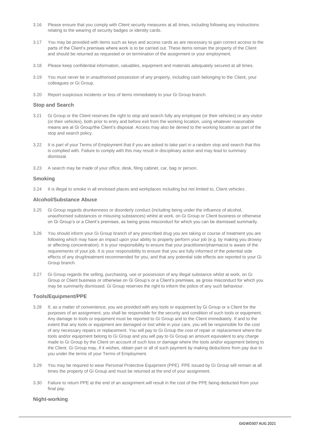- 3.16 Please ensure that you comply with Client security measures at all times, including following any instructions relating to the wearing of security badges or identity cards.
- 3.17 You may be provided with items such as keys and access cards as are necessary to gain correct access to the parts of the Client's premises where work is to be carried out. These items remain the property of the Client and should be returned as requested or on termination of the assignment or your employment.
- 3.18 Please keep confidential information, valuables, equipment and materials adequately secured at all times.
- 3.19 You must never be in unauthorised possession of any property, including cash belonging to the Client, your colleagues or Gi Group.
- 3.20 Report suspicious incidents or loss of items immediately to your Gi Group branch.

#### **Stop and Search**

- 3.21 Gi Group or the Client reserves the right to stop and search fully any employee (or their vehicles) or any visitor (or their vehicles), both prior to entry and before exit from the working location, using whatever reasonable means are at Gi Group/the Client's disposal. Access may also be denied to the working location as part of the stop and search policy.
- 3.22 It is part of your Terms of Employment that if you are asked to take part in a random stop and search that this is complied with. Failure to comply with this may result in disciplinary action and may lead to summary dismissal.
- 3.23 A search may be made of your office, desk, filing cabinet, car, bag or person.

#### **Smoking**

3.24 It is illegal to smoke in all enclosed places and workplaces including but not limited to, Client vehicles .

#### **Alcohol/Substance Abuse**

- 3.25 Gi Group regards drunkenness or disorderly conduct (including being under the influence of alcohol, unauthorised substances or misusing substances) whilst at work, on Gi Group or Client business or otherwise on Gi Group's or a Client's premises, as being gross misconduct for which you can be dismissed summarily.
- 3.26 You should inform your Gi Group branch of any prescribed drug you are taking or course of treatment you are following which may have an impact upon your ability to properly perform your job (e.g. by making you drowsy or affecting concentration). It is your responsibility to ensure that your practitioner/pharmacist is aware of the requirements of your job. It is your responsibility to ensure that you are fully informed of the potential side effects of any drug/treatment recommended for you, and that any potential side effects are reported to your Gi Group branch.
- 3.27 Gi Group regards the selling, purchasing, use or possession of any illegal substance whilst at work, on Gi Group or Client business or otherwise on Gi Group's or a Client's premises, as gross misconduct for which you may be summarily dismissed. Gi Group reserves the right to inform the police of any such behaviour.

#### **Tools/Equipment/PPE**

- 3.28 If, as a matter of convenience, you are provided with any tools or equipment by Gi Group or a Client for the purposes of an assignment, you shall be responsible for the security and condition of such tools or equipment. Any damage to tools or equipment must be reported to Gi Group and to the Client immediately. If and to the extent that any tools or equipment are damaged or lost while in your care, you will be responsible for the cost of any necessary repairs or replacement. You will pay to Gi Group the cost of repair or replacement where the tools and/or equipment belong to Gi Group and you will pay to Gi Group an amount equivalent to any charge made to Gi Group by the Client on account of such loss or damage where the tools and/or equipment belong to the Client. Gi Group may, if it wishes, obtain part or all of such payment by making deductions from pay due to you under the terms of your Terms of Employment.
- 3.29 You may be required to wear Personal Protective Equipment (PPE). PPE issued by Gi Group will remain at all times the property of Gi Group and must be returned at the end of your assignment.
- 3.30 Failure to return PPE at the end of an assignment will result in the cost of the PPE being deducted from your final pay.

### **Night-working**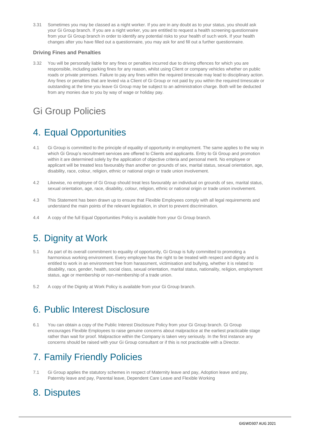3.31 Sometimes you may be classed as a night worker. If you are in any doubt as to your status, you should ask your Gi Group branch. If you are a night worker, you are entitled to request a health screening questionnaire from your Gi Group branch in order to identify any potential risks to your health of such work. If your health changes after you have filled out a questionnaire, you may ask for and fill out a further questionnaire.

### **Driving Fines and Penalties**

3.32 You will be personally liable for any fines or penalties incurred due to driving offences for which you are responsible, including parking fines for any reason, whilst using Client or company vehicles whether on public roads or private premises. Failure to pay any fines within the required timescale may lead to disciplinary action. Any fines or penalties that are levied via a Client of Gi Group or not paid by you within the required timescale or outstanding at the time you leave Gi Group may be subject to an administration charge. Both will be deducted from any monies due to you by way of wage or holiday pay.

# Gi Group Policies

# 4. Equal Opportunities

- 4.1 Gi Group is committed to the principle of equality of opportunity in employment. The same applies to the way in which Gi Group's recruitment services are offered to Clients and applicants. Entry to Gi Group and promotion within it are determined solely by the application of objective criteria and personal merit. No employee or applicant will be treated less favourably than another on grounds of sex, marital status, sexual orientation, age, disability, race, colour, religion, ethnic or national origin or trade union involvement.
- 4.2 Likewise, no employee of Gi Group should treat less favourably an individual on grounds of sex, marital status, sexual orientation, age, race, disability, colour, religion, ethnic or national origin or trade union involvement.
- 4.3 This Statement has been drawn up to ensure that Flexible Employees comply with all legal requirements and understand the main points of the relevant legislation, in short to prevent discrimination.
- 4.4 A copy of the full Equal Opportunities Policy is available from your Gi Group branch.

## 5. Dignity at Work

- 5.1 As part of its overall commitment to equality of opportunity, Gi Group is fully committed to promoting a harmonious working environment. Every employee has the right to be treated with respect and dignity and is entitled to work in an environment free from harassment, victimisation and bullying, whether it is related to disability, race, gender, health, social class, sexual orientation, marital status, nationality, religion, employment status, age or membership or non-membership of a trade union.
- 5.2 A copy of the Dignity at Work Policy is available from your Gi Group branch.

## 6. Public Interest Disclosure

6.1 You can obtain a copy of the Public Interest Disclosure Policy from your Gi Group branch. Gi Group encourages Flexible Employees to raise genuine concerns about malpractice at the earliest practicable stage rather than wait for proof. Malpractice within the Company is taken very seriously. In the first instance any concerns should be raised with your Gi Group consultant or if this is not practicable with a Director.

## 7. Family Friendly Policies

7.1 Gi Group applies the statutory schemes in respect of Maternity leave and pay, Adoption leave and pay, Paternity leave and pay, Parental leave, Dependent Care Leave and Flexible Working

### 8. Disputes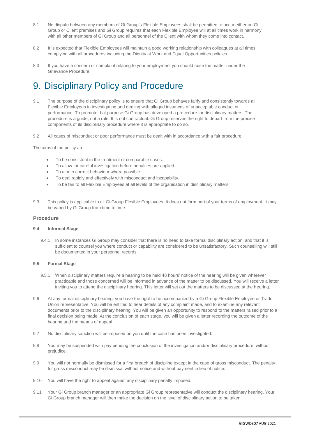- 8.1 No dispute between any members of Gi Group's Flexible Employees shall be permitted to occur either on Gi Group or Client premises and Gi Group requires that each Flexible Employee will at all times work in harmony with all other members of Gi Group and all personnel of the Client with whom they come into contact.
- 8.2 It is expected that Flexible Employees will maintain a good working relationship with colleagues at all times, complying with all procedures including the Dignity at Work and Equal Opportunities policies.
- 8.3 If you have a concern or complaint relating to your employment you should raise the matter under the Grievance Procedure.

### 9. Disciplinary Policy and Procedure

- 9.1 The purpose of the disciplinary policy is to ensure that Gi Group behaves fairly and consistently towards all Flexible Employees in investigating and dealing with alleged instances of unacceptable conduct or performance. To promote that purpose Gi Group has developed a procedure for disciplinary matters. The procedure is a guide, not a rule. It is not contractual. Gi Group reserves the right to depart from the precise components of its disciplinary procedure where it is appropriate to do so.
- 9.2 All cases of misconduct or poor performance must be dealt with in accordance with a fair procedure.

The aims of the policy are:

- To be consistent in the treatment of comparable cases.
- To allow for careful investigation before penalties are applied.
- To aim to correct behaviour where possible.
- To deal rapidly and effectively with misconduct and incapability.
- To be fair to all Flexible Employees at all levels of the organisation in disciplinary matters.
- 9.3 This policy is applicable to all Gi Group Flexible Employees. It does not form part of your terms of employment. It may be varied by Gi Group from time to time.

#### **Procedure**

#### **9.4 Informal Stage**

9.4.1 In some instances Gi Group may consider that there is no need to take formal disciplinary action, and that it is sufficient to counsel you where conduct or capability are considered to be unsatisfactory. Such counselling will still be documented in your personnel records.

#### **9.5 Formal Stage**

- 9.5.1 When disciplinary matters require a hearing to be held 48 hours' notice of the hearing will be given wherever practicable and those concerned will be informed in advance of the matter to be discussed. You will receive a letter inviting you to attend the disciplinary hearing. This letter will set out the matters to be discussed at the hearing.
- 9.6 At any formal disciplinary hearing, you have the right to be accompanied by a Gi Group Flexible Employee or Trade Union representative. You will be entitled to hear details of any complaint made, and to examine any relevant documents prior to the disciplinary hearing. You will be given an opportunity to respond to the matters raised prior to a final decision being made. At the conclusion of each stage, you will be given a letter recording the outcome of the hearing and the means of appeal.
- 9.7 No disciplinary sanction will be imposed on you until the case has been investigated.
- 9.8 You may be suspended with pay pending the conclusion of the investigation and/or disciplinary procedure, without prejudice.
- 9.9 You will not normally be dismissed for a first breach of discipline except in the case of gross misconduct. The penalty for gross misconduct may be dismissal without notice and without payment in lieu of notice.
- 9.10 You will have the right to appeal against any disciplinary penalty imposed.
- 9.11 Your Gi Group branch manager or an appropriate Gi Group representative will conduct the disciplinary hearing. Your Gi Group branch manager will then make the decision on the level of disciplinary action to be taken.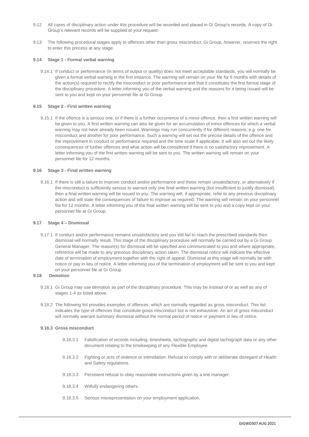- 9.12 All cases of disciplinary action under this procedure will be recorded and placed in Gi Group's records. A copy of Gi Group's relevant records will be supplied at your request.
- 9.13 The following procedural stages apply to offences other than gross misconduct. Gi Group, however, reserves the right to enter this process at any stage:

#### **9.14 Stage 1 - Formal verbal warning**

9.14.1 If conduct or performance (in terms of output or quality) does not meet acceptable standards, you will normally be given a formal verbal warning in the first instance. The warning will remain on your file for 6 months with details of the action(s) required to rectify the misconduct or poor performance and that it constitutes the first formal stage of the disciplinary procedure. A letter informing you of the verbal warning and the reasons for it being issued will be sent to you and kept on your personnel file at Gi Group.

#### **9.15 Stage 2 - First written warning**

9.15.1 If the offence is a serious one, or if there is a further occurrence of a minor offence, then a first written warning will be given to you. A first written warning can also be given for an accumulation of minor offences for which a verbal warning may not have already been issued. Warnings may run concurrently if for different reasons, e.g. one for misconduct and another for poor performance. Such a warning will set out the precise details of the offence and the improvement in conduct or performance required and the time scale if applicable. It will also set out the likely consequences of further offences and what action will be considered if there is no satisfactory improvement. A letter informing you of the first written warning will be sent to you. The written warning will remain on your personnel file for 12 months.

#### **9.16 Stage 3 - Final written warning**

9.16.1 If there is still a failure to improve conduct and/or performance and these remain unsatisfactory, or alternatively if the misconduct is sufficiently serious to warrant only one final written warning (but insufficient to justify dismissal) then a final written warning will be issued to you. The warning will, if appropriate, refer to any previous disciplinary action and will state the consequences of failure to improve as required. The warning will remain on your personnel file for 12 months. A letter informing you of the final written warning will be sent to you and a copy kept on your personnel file at Gi Group.

#### **9.17 Stage 4 – Dismissal**

9.17.1 If conduct and/or performance remains unsatisfactory and you still fail to reach the prescribed standards then dismissal will normally result. This stage of the disciplinary procedure will normally be carried out by a Gi Group General Manager. The reason(s) for dismissal will be specified and communicated to you and where appropriate, reference will be made to any previous disciplinary action taken. The dismissal notice will indicate the effective date of termination of employment together with the right of appeal. Dismissal at this stage will normally be with notice or pay in lieu of notice. A letter informing you of the termination of employment will be sent to you and kept on your personnel file at Gi Group.

### **9.18 Demotion**

- 9.18.1 Gi Group may use demotion as part of the disciplinary procedure. This may be instead of or as well as any of stages 1-4 as listed above.
- 9.18.2 The following list provides examples of offences, which are normally regarded as gross misconduct. This list indicates the type of offences that constitute gross misconduct but is not exhaustive. An act of gross misconduct will normally warrant summary dismissal without the normal period of notice or payment in lieu of notice.

#### **9.18.3 Gross misconduct**

- 9.18.3.1 Falsification of records including; timesheets, tachographs and digital tachograph data or any other document relating to the timekeeping of any Flexible Employee.
- 9.18.3.2 Fighting or acts of violence or intimidation. Refusal to comply with or deliberate disregard of Health and Safety regulations.
- 9.18.3.3 Persistent refusal to obey reasonable instructions given by a line manager.
- 9.18.3.4 Wilfully endangering others.
- 9.18.3.5 Serious misrepresentation on your employment application.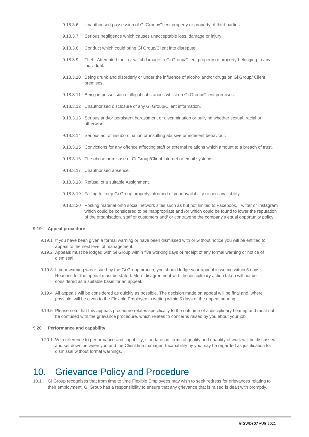- 9.18.3.6 Unauthorised possession of Gi Group/Client property or property of third parties.
- 9.18.3.7 Serious negligence which causes unacceptable loss, damage or injury.
- 9.18.3.8 Conduct which could bring Gi Group/Client into disrepute.
- 9.18.3.9 Theft. Attempted theft or wilful damage to Gi Group/Client property or property belonging to any individual.
- 9.18.3.10 Being drunk and disorderly or under the influence of alcoho and/or drugs on Gi Group/ Client premises.
- 9.18.3.11 Being in possession of illegal substances whilst on Gi Group/Client premises.
- 9.18.3.12 Unauthorised disclosure of any Gi Group/Client information.
- 9.18.3.13 Serious and/or persistent harassment or discrimination or bullying whether sexual, racial or otherwise.
- 9.18.3.14 Serious act of insubordination or insulting abusive or indecent behaviour.
- 9.18.3.15 Convictions for any offence affecting staff or external relations which amount to a breach of trust.
- 9.18.3.16 The abuse or misuse of Gi Group/Client internet or email systems.
- 9.18.3.17 Unauthorised absence.
- 9.18.3.18 Refusal of a suitable Assignment.
- 9.18.3.19 Failing to keep Gi Group properly informed of your availability or non-availability.
- 9.18.3.20 Posting material onto social network sites such as but not limited to Facebook, Twitter or Instagram which could be considered to be inappropriate and /or which could be found to lower the reputation of the organisation, staff or customers and/ or contravene the company's equal opportunity policy.

#### **9.19 Appeal procedure**

- 9.19.1 If you have been given a formal warning or have been dismissed with or without notice you will be entitled to appeal to the next level of management.
- 9.19.2 Appeals must be lodged with Gi Group within five working days of receipt of any formal warning or notice of dismissal.
- 9.19.3 If your warning was issued by the Gi Group branch, you should lodge your appeal in writing within 5 days. Reasons for the appeal must be stated. Mere disagreement with the disciplinary action taken will not be considered as a suitable basis for an appeal.
- 9.19.4 All appeals will be considered as quickly as possible. The decision made on appeal will be final and, where possible, will be given to the Flexible Employee in writing within 5 days of the appeal hearing.
- 9.19.5 Please note that this appeals procedure relates specifically to the outcome of a disciplinary hearing and must not be confused with the grievance procedure, which relates to concerns raised by you about your job.

#### **9.20 Performance and capability**

9.20.1 With reference to performance and capability, standards in terms of quality and quantity of work will be discussed and set down between you and the Client line manager. Incapability by you may be regarded as justification for dismissal without formal warnings.

### 10. Grievance Policy and Procedure

10.1 Gi Group recognises that from time to time Flexible Employees may wish to seek redress for grievances relating to their employment. Gi Group has a responsibility to ensure that any grievance that is raised is dealt with promptly.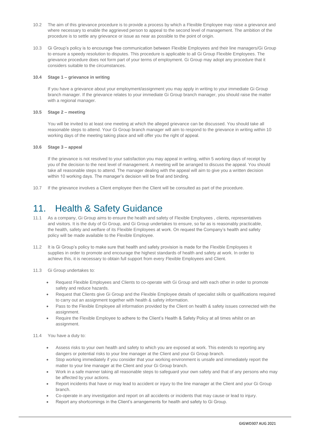- 10.2 The aim of this grievance procedure is to provide a process by which a Flexible Employee may raise a grievance and where necessary to enable the aggrieved person to appeal to the second level of management. The ambition of the procedure is to settle any grievance or issue as near as possible to the point of origin.
- 10.3 Gi Group's policy is to encourage free communication between Flexible Employees and their line managers/Gi Group to ensure a speedy resolution to disputes. This procedure is applicable to all Gi Group Flexible Employees. The grievance procedure does not form part of your terms of employment. Gi Group may adopt any procedure that it considers suitable to the circumstances.

#### **10.4 Stage 1 – grievance in writing**

If you have a grievance about your employment/assignment you may apply in writing to your immediate Gi Group branch manager. If the grievance relates to your immediate Gi Group branch manager, you should raise the matter with a regional manager.

#### **10.5 Stage 2 – meeting**

You will be invited to at least one meeting at which the alleged grievance can be discussed. You should take all reasonable steps to attend. Your Gi Group branch manager will aim to respond to the grievance in writing within 10 working days of the meeting taking place and will offer you the right of appeal.

#### **10.6 Stage 3 – appeal**

If the grievance is not resolved to your satisfaction you may appeal in writing, within 5 working days of receipt by you of the decision to the next level of management. A meeting will be arranged to discuss the appeal. You should take all reasonable steps to attend. The manager dealing with the appeal will aim to give you a written decision within 10 working days. The manager's decision will be final and binding.

10.7 If the grievance involves a Client employee then the Client will be consulted as part of the procedure.

### 11. Health & Safety Guidance

- 11.1 As a company, Gi Group aims to ensure the health and safety of Flexible Employees , clients, representatives and visitors. It is the duty of Gi Group, and Gi Group undertakes to ensure, so far as is reasonably practicable, the health, safety and welfare of its Flexible Employees at work. On request the Company's health and safety policy will be made available to the Flexible Employee.
- 11.2 It is Gi Group's policy to make sure that health and safety provision is made for the Flexible Employees it supplies in order to promote and encourage the highest standards of health and safety at work. In order to achieve this, it is necessary to obtain full support from every Flexible Employees and Client.
- 11.3 Gi Group undertakes to:
	- Request Flexible Employees and Clients to co-operate with Gi Group and with each other in order to promote safety and reduce hazards.
	- Request that Clients give Gi Group and the Flexible Employee details of specialist skills or qualifications required to carry out an assignment together with health & safety information.
	- Pass to the Flexible Employee all information provided by the Client on health & safety issues connected with the assignment.
	- Require the Flexible Employee to adhere to the Client's Health & Safety Policy at all times whilst on an assignment.

#### 11.4 You have a duty to:

- Assess risks to your own health and safety to which you are exposed at work. This extends to reporting any dangers or potential risks to your line manager at the Client and your Gi Group branch.
- Stop working immediately if you consider that your working environment is unsafe and immediately report the matter to your line manager at the Client and your Gi Group branch.
- Work in a safe manner taking all reasonable steps to safeguard your own safety and that of any persons who may be affected by your actions.
- Report incidents that have or may lead to accident or injury to the line manager at the Client and your Gi Group branch.
- Co-operate in any investigation and report on all accidents or incidents that may cause or lead to injury.
- Report any shortcomings in the Client's arrangements for health and safety to Gi Group.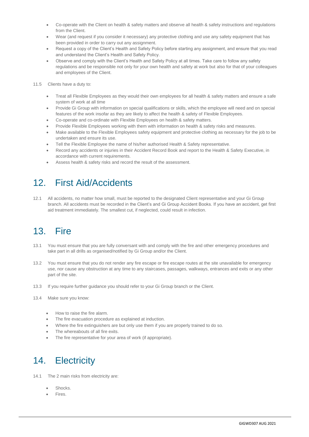- Co-operate with the Client on health & safety matters and observe all health & safety instructions and regulations from the Client.
- Wear (and request if you consider it necessary) any protective clothing and use any safety equipment that has been provided in order to carry out any assignment.
- Request a copy of the Client's Health and Safety Policy before starting any assignment, and ensure that you read and understand the Client's Health and Safety Policy.
- Observe and comply with the Client's Health and Safety Policy at all times. Take care to follow any safety regulations and be responsible not only for your own health and safety at work but also for that of your colleagues and employees of the Client.
- 11.5 Clients have a duty to:
	- Treat all Flexible Employees as they would their own employees for all health & safety matters and ensure a safe system of work at all time
	- Provide Gi Group with information on special qualifications or skills, which the employee will need and on special features of the work insofar as they are likely to affect the health & safety of Flexible Employees.
	- Co-operate and co-ordinate with Flexible Employees on health & safety matters.
	- Provide Flexible Employees working with them with information on health & safety risks and measures.
	- Make available to the Flexible Employees safety equipment and protective clothing as necessary for the job to be undertaken and ensure its use.
	- Tell the Flexible Employee the name of his/her authorised Health & Safety representative.
	- Record any accidents or injuries in their Accident Record Book and report to the Health & Safety Executive, in accordance with current requirements.
	- Assess health & safety risks and record the result of the assessment.

## 12. First Aid/Accidents

12.1 All accidents, no matter how small, must be reported to the designated Client representative and your Gi Group branch. All accidents must be recorded in the Client's and Gi Group Accident Books. If you have an accident, get first aid treatment immediately. The smallest cut, if neglected, could result in infection.

## 13. Fire

- 13.1 You must ensure that you are fully conversant with and comply with the fire and other emergency procedures and take part in all drills as organised/notified by Gi Group and/or the Client.
- 13.2 You must ensure that you do not render any fire escape or fire escape routes at the site unavailable for emergency use, nor cause any obstruction at any time to any staircases, passages, walkways, entrances and exits or any other part of the site.
- 13.3 If you require further guidance you should refer to your Gi Group branch or the Client.
- 13.4 Make sure you know:
	- How to raise the fire alarm.
	- The fire evacuation procedure as explained at induction.
	- Where the fire extinguishers are but only use them if you are properly trained to do so.
	- The whereabouts of all fire exits.
	- The fire representative for your area of work (if appropriate).

### 14. Electricity

- 14.1 The 2 main risks from electricity are:
	- Shocks.
	- Fires.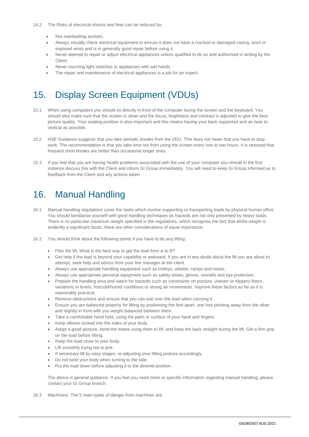- Not overloading sockets.
- Always visually check electrical equipment to ensure it does not have a cracked or damaged casing, worn or exposed wires and is in generally good repair before using it.
- Never attempt to repair or adjust electrical appliances unless qualified to do so and authorised in writing by the Client.
- Never touching light switches or appliances with wet hands.
- The repair and maintenance of electrical appliances is a job for an expert.

### 15. Display Screen Equipment (VDUs)

- 15.1 When using computers you should sit directly in front of the computer facing the screen and the keyboard. You should also make sure that the screen is clean and the focus, brightness and contrast is adjusted to give the best picture quality. Your seating position is also important and this means having your back supported and as near to vertical as possible.
- 15.2 HSE Guidance suggests that you take periodic breaks from the VDU. This does not mean that you have to stop work. The recommendation is that you take time out from using the screen every one to two hours. It is stressed that frequent short breaks are better than occasional longer ones.
- 15.3 If you feel that you are having health problems associated with the use of your computer you should in the first instance discuss this with the Client and inform Gi Group immediately. You will need to keep Gi Group informed as to feedback from the Client and any actions taken.

### 16. Manual Handling

- 16.1 Manual handling regulations cover the tasks which involve supporting or transporting loads by physical human effort. You should familiarise yourself with good handling techniques as hazards are not only presented by heavy loads. There is no particular maximum weight specified in the regulations, which recognise the fact that whilst weight is evidently a significant factor, there are other considerations of equal importance.
- 16.2 You should think about the following points if you have to do any lifting:
	- Plan the lift. What is the best way to get the load from A to B?
	- Get help if the load is beyond your capability or awkward. If you are in any doubt about the lift you are about to attempt, seek help and advice from your line manager at the client.
	- Always use appropriate handling equipment such as trolleys, wheels, ramps and hoists.
	- Always use appropriate personal equipment such as safety shoes, gloves, overalls and eye protection.
	- Prepare the handling area and watch for hazards such as constraints on posture, uneven or slippery floors, variations in levels, hot/cold/humid conditions or strong air movements. Improve these factors as far as it is reasonably practical.
	- Remove obstructions and ensure that you can see over the load when carrying it.
	- Ensure you are balanced properly for lifting by positioning the feet apart, one foot pointing away from the other and slightly in front with you weight balanced between them.
	- Take a comfortable hand hold, using the palm or surface of your hand and fingers.
	- Keep elbows tucked into the sides of your body.
	- Adopt a good posture, bend the knees using them to lift, and keep the back straight during the lift. Get a firm grip on the load before lifting.
	- Keep the load close to your body.
	- Lift smoothly trying not to jerk.
	- If necessary lift by easy stages, re-adjusting your lifting posture accordingly.
	- Do not twist your body when turning to the side.
	- Put the load down before adjusting it to the desired position.

The above is general guidance. If you feel you need more or specific information regarding manual handling, please contact your Gi Group branch.

16.3 Machinery: The 5 main types of danger from machines are: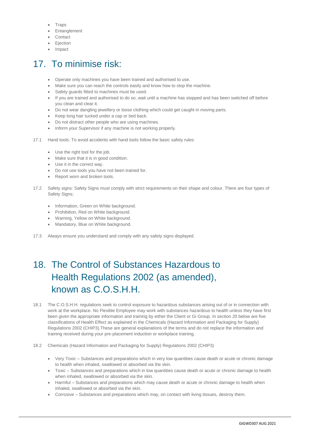- **Traps**
- Entanglement
- Contact
- **•** Ejection
- Impact

# 17. To minimise risk:

- Operate only machines you have been trained and authorised to use.
- Make sure you can reach the controls easily and know how to stop the machine.
- Safety guards fitted to machines must be used.
- If you are trained and authorised to do so, wait until a machine has stopped and has been switched off before you clean and clear it.
- Do not wear dangling jewellery or loose clothing which could get caught in moving parts.
- Keep long hair tucked under a cap or tied back.
- Do not distract other people who are using machines.
- Inform your Supervisor if any machine is not working properly.
- 17.1 Hand tools: To avoid accidents with hand tools follow the basic safety rules:
	- Use the right tool for the job.
	- Make sure that it is in good condition.
	- Use it in the correct way.
	- Do not use tools you have not been trained for.
	- Report worn and broken tools.
- 17.2 Safety signs: Safety Signs must comply with strict requirements on their shape and colour. There are four types of Safety Signs;
	- Information, Green on White background.
	- Prohibition, Red on White background.
	- Warning, Yellow on White background.
	- Mandatory, Blue on White background.
- 17.3 Always ensure you understand and comply with any safety signs displayed.

# 18. The Control of Substances Hazardous to Health Regulations 2002 (as amended), known as C.O.S.H.H.

- 18.1 The C.O.S.H.H. regulations seek to control exposure to hazardous substances arising out of or in connection with work at the workplace. No Flexible Employee may work with substances hazardous to health unless they have first been given the appropriate information and training by either the Client or Gi Group. In section 20 below are five classifications of Health Effect as explained in the Chemicals (Hazard Information and Packaging for Supply) Regulations 2002 (CHIP3).These are general explanations of the terms and do not replace the information and training received during your pre-placement induction or workplace training.
- 18.2 Chemicals (Hazard Information and Packaging for Supply) Regulations 2002 (CHIP3)
	- Very Toxic Substances and preparations which in very low quantities cause death or acute or chronic damage to health when inhaled, swallowed or absorbed via the skin.
	- Toxic Substances and preparations which in low quantities cause death or acute or chronic damage to health when inhaled, swallowed or absorbed via the skin.
	- Harmful Substances and preparations which may cause death or acute or chronic damage to health when inhaled, swallowed or absorbed via the skin.
	- Corrosive Substances and preparations which may, on contact with living tissues, destroy them.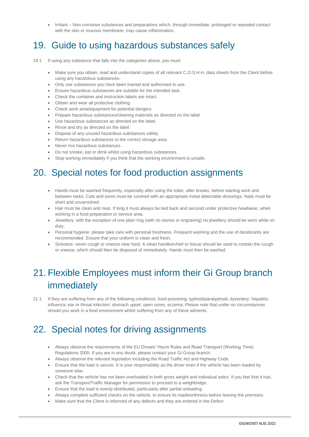Irritant – Non-corrosive substances and preparations which, through immediate, prolonged or repeated contact with the skin or mucous membrane, may cause inflammation.

## 19. Guide to using hazardous substances safely

- 19.1 If using any substance that falls into the categories above, you must:
	- Make sure you obtain, read and understand copies of all relevant C.O.S.H.H. data sheets from the Client before using any hazardous substances.
	- Only use substances you have been trained and authorised to use.
	- Ensure hazardous substances are suitable for the intended task.
	- Check the container and instruction labels are intact.
	- Obtain and wear all protective clothing.
	- Check work area/equipment for potential dangers.
	- Prepare hazardous substances/cleaning materials as directed on the label.
	- Use hazardous substances as directed on the label.
	- Rinse and dry as directed on the label.
	- Dispose of any unused hazardous substances safely.
	- Return hazardous substances to the correct storage area.
	- Never mix hazardous substances.
	- Do not smoke, eat or drink whilst using hazardous substances.
	- Stop working immediately if you think that the working environment is unsafe.

## 20. Special notes for food production assignments

- Hands must be washed frequently, especially after using the toilet, after breaks, before starting work and between tasks. Cuts and sores must be covered with an appropriate metal detectable dressings. Nails must be short and unvarnished.
- Hair must be clean and neat. If long it must always be tied back and secured under protective headwear, when working in a food preparation or service area.
- Jewellery: with the exception of one plain ring (with no stones or engraving) no jewellery should be worn while on duty.
- Personal hygiene: please take care with personal freshness. Frequent washing and the use of deodorants are recommended. Ensure that your uniform is clean and fresh.
- Sickness: never cough or sneeze near food. A clean handkerchief or tissue should be used to contain the cough or sneeze, which should then be disposed of immediately. Hands must then be washed.

## 21. Flexible Employees must inform their Gi Group branch immediately

21.1 If they are suffering from any of the following conditions: food poisoning; typhoid/paratyphoid; dysentery; hepatitis; influenza; ear or throat infection; stomach upset; open sores; eczema. Please note that under no circumstances should you work in a food environment whilst suffering from any of these ailments.

# 22. Special notes for driving assignments

- Always observe the requirements of the EU Drivers' Hours Rules and Road Transport (Working Time) Regulations 2005. If you are in any doubt, please contact your Gi Group branch.
- Always observe the relevant legislation including the Road Traffic Act and Highway Code.
- Ensure that the load is secure. It is your responsibility as the driver even if the vehicle has been loaded by someone else.
- Check that the vehicle has not been overloaded in both gross weight and individual axles. If you feel that it has, ask the Transport/Traffic Manager for permission to proceed to a weighbridge.
- Ensure that the load is evenly distributed, particularly after partial unloading.
- Always complete sufficient checks on the vehicle, to ensure its roadworthiness before leaving the premises.
- Make sure that the Client is informed of any defects and they are entered in the Defect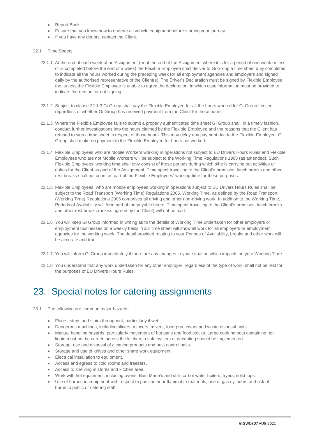- Report Book.
- Ensure that you know how to operate all vehicle equipment before starting your journey.
- If you have any doubts, contact the Client.
- 22.1 Time Sheets
	- 22.1.1 At the end of each week of an Assignment (or at the end of the Assignment where it is for a period of one week or less or is completed before the end of a week) the Flexible Employee shall deliver to Gi Group a time sheet duly completed to indicate all the hours worked during the preceding week for all employment agencies and employers and signed daily by the authorised representative of the Client(s). The Driver's Declaration must be signed by Flexible Employee the unless the Flexible Employee is unable to agree the declaration, in which case information must be provided to indicate the reason for not signing.
	- 22.1.2 Subject to clause 22.1.3 Gi Group shall pay the Flexible Employee for all the hours worked for Gi Group Limited regardless of whether Gi Group has received payment from the Client for those hours.
	- 22.1.3 Where the Flexible Employee fails to submit a properly authenticated time sheet Gi Group shall, in a timely fashion, conduct further investigations into the hours claimed by the Flexible Employee and the reasons that the Client has refused to sign a time sheet in respect of those hours. This may delay any payment due to the Flexible Employee. Gi Group shall make no payment to the Flexible Employee for hours not worked.
	- 22.1.4 Flexible Employees who are Mobile Workers working in operations not subject to EU Drivers Hours Rules and Flexible Employees who are not Mobile Workers will be subject to the Working Time Regulations 1998 (as amended). Such Flexible Employees' working time shall only consist of those periods during which s/he is carrying out activities or duties for the Client as part of the Assignment. Time spent travelling to the Client's premises; lunch breaks and other rest breaks shall not count as part of the Flexible Employees' working time for these purposes.
	- 22.1.5 Flexible Employees who are mobile employees working in operations subject to EU Drivers Hours Rules shall be subject to the Road Transport (Working Time) Regulations 2005. Working Time, as defined by the Road Transport (Working Time) Regulations 2005 comprises all driving and other non-driving work. In addition to the Working Time, Periods of Availability will form part of the payable hours. Time spent travelling to the Client's premises, lunch breaks and other rest breaks (unless agreed by the Client) will not be paid.
	- 22.1.6 You will keep Gi Group informed in writing as to the details of Working Time undertaken for other employers or employment businesses on a weekly basis. Your time sheet will show all work for all employers or employment agencies for the working week. The detail provided relating to your Periods of Availability, breaks and other work will be accurate and true.
	- 22.1.7 You will inform Gi Group immediately if there are any changes to your situation which impacts on your Working Time.
	- 22.1.8 You understand that any work undertaken for any other employer, regardless of the type of work, shall not be rest for the purposes of EU Drivers Hours Rules.

### 23. Special notes for catering assignments

- 23.1 The following are common major hazards:
	- Floors, steps and stairs throughout, particularly if wet.
	- Dangerous machines, including slicers, mincers, mixers, food processors and waste disposal units.
	- Manual handling hazards, particularly movement of hot pans and food stocks. Large cooking pots containing hot liquid must not be carried across the kitchen; a safe system of decanting should be implemented.
	- Storage, use and disposal of cleaning products and pest control baits.
	- Storage and use of knives and other sharp work equipment.
	- **Electrical installation to equipment.**
	- Access and egress to cold rooms and freezers.
	- Access to shelving in stores and kitchen area.
	- Work with hot equipment, including ovens, Bain Marie's and stills or hot water boilers, fryers, solid tops.
	- Use of barbecue equipment with respect to position near flammable materials, use of gas cylinders and risk of burns to public or catering staff.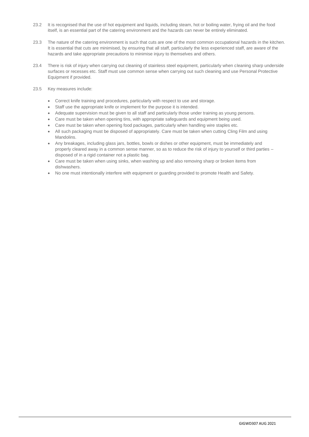- 23.2 It is recognised that the use of hot equipment and liquids, including steam, hot or boiling water, frying oil and the food itself, is an essential part of the catering environment and the hazards can never be entirely eliminated.
- 23.3 The nature of the catering environment is such that cuts are one of the most common occupational hazards in the kitchen. It is essential that cuts are minimised, by ensuring that all staff, particularly the less experienced staff, are aware of the hazards and take appropriate precautions to minimise injury to themselves and others.
- 23.4 There is risk of injury when carrying out cleaning of stainless steel equipment, particularly when cleaning sharp underside surfaces or recesses etc. Staff must use common sense when carrying out such cleaning and use Personal Protective Equipment if provided.
- 23.5 Key measures include:
	- Correct knife training and procedures, particularly with respect to use and storage.
	- Staff use the appropriate knife or implement for the purpose it is intended.
	- Adequate supervision must be given to all staff and particularly those under training as young persons.
	- Care must be taken when opening tins, with appropriate safeguards and equipment being used.
	- Care must be taken when opening food packages, particularly when handling wire staples etc.
	- All such packaging must be disposed of appropriately. Care must be taken when cutting Cling Film and using Mandolins.
	- Any breakages, including glass jars, bottles, bowls or dishes or other equipment, must be immediately and properly cleared away in a common sense manner, so as to reduce the risk of injury to yourself or third parties – disposed of in a rigid container not a plastic bag.
	- Care must be taken when using sinks, when washing up and also removing sharp or broken items from dishwashers.
	- No one must intentionally interfere with equipment or guarding provided to promote Health and Safety.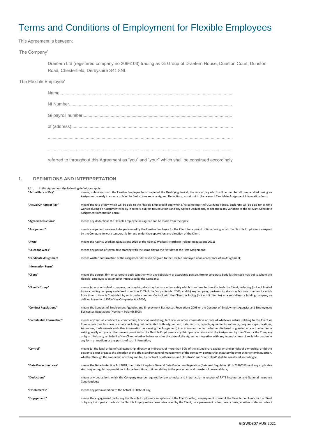# Terms and Conditions of Employment for Flexible Employees

This Agreement is between;

'The Company'

Draefern Ltd (registered company no 2066103) trading as Gi Group of Draefern House, Dunston Court, Dunston Road, Chesterfield, Derbyshire S41 8NL

#### 'The Flexible Employee'

referred to throughout this Agreement as "you" and "your" which shall be construed accordingly

#### **1. DEFINITIONS AND INTERPRETATION**

<span id="page-19-0"></span>

| In this Agreement the following definitions apply:<br>$1.1.$ . |                                                                                                                                                                                                                                                                                                                                                                                                                                                                                                                                                                                                                                                                                                                                                                                                                                                     |
|----------------------------------------------------------------|-----------------------------------------------------------------------------------------------------------------------------------------------------------------------------------------------------------------------------------------------------------------------------------------------------------------------------------------------------------------------------------------------------------------------------------------------------------------------------------------------------------------------------------------------------------------------------------------------------------------------------------------------------------------------------------------------------------------------------------------------------------------------------------------------------------------------------------------------------|
| "Actual Rate of Pay"                                           | means, unless and until the Flexible Employee has completed the Qualifying Period, the rate of pay which will be paid for all time worked during an<br>Assignment weekly in arrears, subject to Deductions and any Agreed Deductions, as set out in the relevant Candidate Assignment Information Form;                                                                                                                                                                                                                                                                                                                                                                                                                                                                                                                                             |
| "Actual QP Rate of Pay"                                        | means the rate of pay which will be paid to the Flexible Employee if and when s/he completes the Qualifying Period. Such rate will be paid for all time<br>worked during an Assignment weekly in arrears, subject to Deductions and any Agreed Deductions, as set out in any variation to the relevant Candidate<br>Assignment Information Form;                                                                                                                                                                                                                                                                                                                                                                                                                                                                                                    |
| "Agreed Deductions"                                            | means any deductions the Flexible Employee has agreed can be made from their pay;                                                                                                                                                                                                                                                                                                                                                                                                                                                                                                                                                                                                                                                                                                                                                                   |
| "Assignment"                                                   | means assignment services to be performed by the Flexible Employee for the Client for a period of time during which the Flexible Employee is assigned<br>by the Company to work temporarily for and under the supervision and direction of the Client;                                                                                                                                                                                                                                                                                                                                                                                                                                                                                                                                                                                              |
| "AWR"                                                          | means the Agency Workers Regulations 2010 or the Agency Workers (Northern Ireland) Regulations 2011;                                                                                                                                                                                                                                                                                                                                                                                                                                                                                                                                                                                                                                                                                                                                                |
| "Calendar Week"                                                | means any period of seven days starting with the same day as the first day of the First Assignment;                                                                                                                                                                                                                                                                                                                                                                                                                                                                                                                                                                                                                                                                                                                                                 |
| "Candidate Assignment                                          | means written confirmation of the assignment details to be given to the Flexible Employee upon acceptance of an Assignment;                                                                                                                                                                                                                                                                                                                                                                                                                                                                                                                                                                                                                                                                                                                         |
| <b>Information Form"</b>                                       |                                                                                                                                                                                                                                                                                                                                                                                                                                                                                                                                                                                                                                                                                                                                                                                                                                                     |
| "Client"                                                       | means the person, firm or corporate body together with any subsidiary or associated person, firm or corporate body (as the case may be) to whom the<br>Flexible Employee is assigned or introduced by the Company;                                                                                                                                                                                                                                                                                                                                                                                                                                                                                                                                                                                                                                  |
| "Client's Group"                                               | means (a) any individual, company, partnership, statutory body or other entity which from time to time Controls the Client, including (but not limited<br>to) as a holding company as defined in section 1159 of the Companies Act 2006; and (b) any company, partnership, statutory body or other entity which<br>from time to time is Controlled by or is under common Control with the Client, including (but not limited to) as a subsidiary or holding company as<br>defined in section 1159 of the Companies Act 2006;                                                                                                                                                                                                                                                                                                                        |
| "Conduct Regulations"                                          | means the Conduct of Employment Agencies and Employment Businesses Regulations 2003 or the Conduct of Employment Agencies and Employment<br>Businesses Regulations (Northern Ireland) 2005;                                                                                                                                                                                                                                                                                                                                                                                                                                                                                                                                                                                                                                                         |
| "Confidential Information"                                     | means any and all confidential commercial, financial, marketing, technical or other information or data of whatever nature relating to the Client or<br>Company or their business or affairs (including but not limited to this Agreement, data, records, reports, agreements, software, programs, specifications,<br>know-how, trade secrets and other information concerning the Assignment) in any form or medium whether disclosed or granted access to whether in<br>writing, orally or by any other means, provided to the Flexible Employee or any third party in relation to the Assignment by the Client or the Company<br>or by a third party on behalf of the Client whether before or after the date of this Agreement together with any reproductions of such information in<br>any form or medium or any part(s) of such information; |
| "Control"                                                      | means (a) the legal or beneficial ownership, directly or indirectly, of more than 50% of the issued share capital or similar right of ownership; or (b) the<br>power to direct or cause the direction of the affairs and/or general management of the company, partnership, statutory body or other entity in question,<br>whether through the ownership of voting capital, by contract or otherwise, and "Controls" and "Controlled" shall be construed accordingly;                                                                                                                                                                                                                                                                                                                                                                               |
| "Data Protection Laws"                                         | means the Data Protection Act 2018, the United Kingdom General Data Protection Regulation (Retained Regulation (EU) 2016/679) and any applicable<br>statutory or regulatory provisions in force from time to time relating to the protection and transfer of personal data;                                                                                                                                                                                                                                                                                                                                                                                                                                                                                                                                                                         |
| "Deductions"                                                   | means any deductions which the Company may be required by law to make and in particular in respect of PAYE income tax and National Insurance<br>Contributions:                                                                                                                                                                                                                                                                                                                                                                                                                                                                                                                                                                                                                                                                                      |
| "Emoluments"                                                   | means any pay in addition to the Actual QP Rate of Pay;                                                                                                                                                                                                                                                                                                                                                                                                                                                                                                                                                                                                                                                                                                                                                                                             |
| "Engagement"                                                   | means the engagement (including the Flexible Employee's acceptance of the Client's offer), employment or use of the Flexible Employee by the Client<br>or by any third party to whom the Flexible Employee has been introduced by the Client, on a permanent or temporary basis, whether under a contract                                                                                                                                                                                                                                                                                                                                                                                                                                                                                                                                           |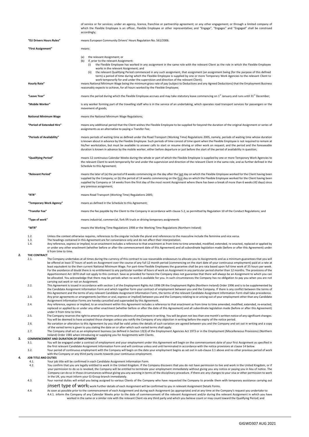<span id="page-20-0"></span>of service or for services; under an agency, licence, franchise or partnership agreement; or any other engagement; or through a limited company of which the Flexible Employee is an officer, Flexible Employee or other representative; and "Engage", "Engages" and "Engaged" shall be construed accordingly; **"EU Drivers Hours Rules"** means European Community Drivers' Hours Regulation No. 561/2006. **"First Assignment"** means: (a) the relevant Assignment; or<br>(b) if, prior to the relevant Assign if, prior to the relevant Assignment:<br>(i) the Flexible Employee has wo the Flexible Employee has worked in any assignment in the same role with the relevant Client as the role in which the Flexible Employee works in the relevant Assignment; and (ii) the relevant Qualifying Period commenced in any such assignment, that assignment (an assignment being (for the purpose of this defined term) a period of time during which the Flexible Employee is supplied by one or more Temporary Work Agencies to the relevant Client to work temporarily for and under the supervision and direction of the relevant Client); **Hourly Rate"** means National Minimum Wage being the minimum gross rate of pay (subject to Deductions and any Agreed Deductions) that the Employment Business reasonably expects to achieve, for all hours worked by the Flexible Employee; "Leave Year" means the period during which the Flexible Employee accrues and may take statutory leave commencing on 1<sup>st</sup> January and runs until 31<sup>st</sup> December; **"Mobile Worker"** is any worker forming part of the travelling staff who is in the service of an undertaking, which operates road transport services for passengers or the movement of goods; **National Minimum Wage** means the National Minimum Wage Regulations; **"Period of Extended Hire"** means any additional period that the Client wishes the Flexible Employee to be supplied for beyond the duration of the original Assignment or series of assignments as an alternative to paying a Transfer Fee; **"Periods of Availability"** means periods of waiting time as defined under the Road Transport (Working Time) Regulations 2005, namely, periods of waiting time whose duration is known about in advance by the Flexible Employee. Such periods of time consist of time spent when the Flexible Employee is not required to remain at his/her workstation, but must be available to answer calls to start or resume driving or other work on request; and the period and the foreseeable duration is known in advance by the mobile worker, either before departure or just before the start of the period of availability in question; **"Qualifying Period"** means 12 continuous Calendar Weeks during the whole or part of which the Flexible Employee is supplied by one or more Temporary Work Agencies to the relevant Client to work temporarily for and under the supervision and direction of the relevant Client in the same role, and as further defined in the Schedule to this Agreement; **"Relevant Period"** means the later of (a) the period of 8 weeks commencing on the day after the last day on which the Flexible Employee worked for the Client having been supplied by the Company; or (b) the period of 14 weeks commencing on the first day on which the Flexible Employee worked for the Client having been supplied by Company or 14 weeks from the first day of the most recent Assignment where there has been a break of more than 6 weeks (42 days) since any previous assignment; **"RTR"** means Road Transport (Working Time) Regulations 2005; **"Temporary Work Agency"** means as defined in the Schedule to this Agreement; **"Transfer Fee"** means the fee payable by the Client to the Company in accordance with claus[e 5.2,](#page-21-0) as permitted by Regulation 10 of the Conduct Regulations; and **"Type of work"** means industrial, commercial, fork lift truck or driving temporary assignments **"WTR"** means the Working Time Regulations 1998 or the Working Time Regulations (Northern Ireland) 1.2. Unless the context otherwise requires, references to the singular include the plural and references to the masculine include the feminine and vice versa.<br>13 The headings contained in this Agreement are for convenience The headings contained in this Agreement are for convenience only and do not affect their interpretation. 1.4. Any reference, express or implied, to an enactment includes a reference to that enactment as from time to time amended, modified, extended, re-enacted, replaced or applied by or under any other enactment (whether before or after the commencement date of this Agreement) and all subordinate legislation made (before or after this Agreement) under it from time to time. **2.1 THE CONTRACT** The Company undertakes at all times during the currency of this contract to use reasonable endeavours to allocate you to Assignments and as a minimum guarantees that you will be offered at least 37 hours of work on Assignment over the course of any full 12 month period (commencing on the start date of your continuous employment) paid at a rate at least equivalent to the then current National Minimum Wage. For part-time Flexible Employees the guarantee shall be pro rata based upon full time work of 35 hours per week. For the avoidance of doubt there is no entitlement to any particular number of hours of work on Assignment in any particular period shorter than 12 months. The provisions of the Apportionment Act 1870 shall not apply to this contract. Save as provided for herein the Company does not guarantee that there will always be an Assignment to which you can be allocated. You acknowledge that there may be periods when no work is available for you. In such circumstances the Company has no obligation to pay you when you are not carrying out work or not on Assignment. 2.2. This Agreement is issued in accordance with section 1 of the Employment Rights Act 1996 OR the Employment Rights (Northern Ireland) Order 1996 and is to be supplemented by the Candidate Assignment Information Form and which together form your contract of employment between you and the Company. If there is any conflict between the terms of<br>this Agreement and the terms of any relevant Candidat 2.3. Any prior agreements or arrangements (written or oral, express or implied) between you and the Company relating to or arising out of your employment other than any Candidate Assignment Information Forms are hereby cancelled and superseded by this Agreement. 2.4. Any reference, express or implied, to an enactment within this Agreement includes a reference to that enactment as from time to time amended, modified, extended, re-enacted, replaced or applied by or under any other enactment (whether before or after the date of this Agreement) and all subordinate legislation made (before or after this Agreement) under it from time to time. 2.5. The Company reserves the right to amend your terms and conditions of employment in writing. You will be given not less than one month's written notice of any significant changes. You will be deemed to have accepted those changes unless you notify the Company of any objection in writing before the expiry of the notice period. 2.6. No variation or alteration to this Agreement by you shall be valid unless the details of such variation are agreed between you and the Company and set out in writing and a copy of the varied terms is given to you stating the date on or after which such varied terms shall apply. 2.7. The Company shall act as an employment business (as defined in Section 13(3) of the Employment Agencies Act 1973 or in the Employment (Miscellaneous Provisions) (Northern Ireland) Order 1981 when introducing or supplying you for Assignments with Clients. **3. COMMENCEMENT AND DURATION OF EMPLOYMENT** 3.1. You will be engaged under a contract of employment and your employment under this Agreement will begin on the commencement date of your first Assignment as specified in the first relevant Candidate Assignment Information Form and will continue unless and until terminated in accordance with the notice provisions at claus[e 14](#page-22-0) below. Your period of continuous employment with the Company will begin on the date your employment begins as set out in sub-claus[e 3.1](#page-20-0) above and no other previous period of work<br>with the Company or any third party counts towards **4. JOB TITLE AND DUTIES** 4.1. Your job title will be confirmed in each Candidate Assignment Information Form.<br>4.2. You confirm that you are legally entitled to work in the United Kingdom. If the C 4.2. You confirm that you are legally entitled to work in the United Kingdom. If the Company discovers that you do not have permission to live and work in the United Kingdom, or if your permission to do so is revoked, the Company will be entitled to terminate your employment immediately without giving you any notice or paying you in lieu of notice. The Company can do so in those circumstances without giving you any warning in terms of the disciplinary procedure. If there are any changes to your visa or other permission to work in the UK, you must inform your Gi Group branch immediately. 4.3. Your normal duties will entail you being assigned to various Clients of the Company who have requested the Company to provide them with temporary assistance carrying out [insert type of work] work Further details of each Assignment will be confirmed to you in relevant Assignment Details Forms. 4.4. As soon as possible prior to the commencement of each Assignment and during each Assignment (as appropriate) and at any time at the Company's request you undertake to: 4.4.1. inform the Company of any Calendar Weeks prior to the date of commencement of the relevant Assignment and/or during the relevant Assignment in which you have worked in the same or a similar role with the relevant Client via any third party and which you believe count or may count toward the Qualifying Period; and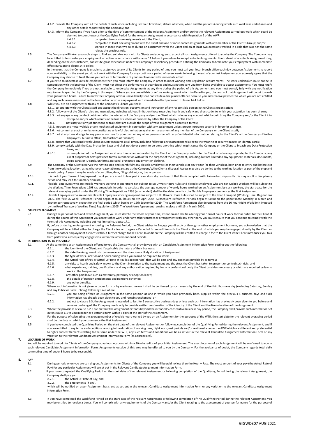4.4.2. provide the Company with all the details of such work, including (without limitation) details of where, when and the period(s) during which such work was undertaken and any other details requested by the Company; and

- 4.4.3. inform the Company if you have prior to the date of commencement of the relevant Assignment and/or during the relevant Assignment carried out work which could be deemed to count towards the Qualifying Period for the relevant Assignment in accordance with Regulation 9 of the AWR:<br>4.4.3.1.
	-

4.4.3.1. **completed two or more assignments with the Client;**<br>4.4.3.2 **completed at least one assignment with the Client an** 4.4.3.2. completed at least one assignment with the Client and one or more earlier assignments with any member of the Client's Group; and/or<br>4.4.3.3. worked in more than two roles during an assignment with the Client and o

worked in more than two roles during an assignment with the Client and on at least two occasions worked in a role that was not the same role as the previous role.

- 4.5. The Company will take reasonable steps to find you suitable work with its Clients and you agree to accept all such Assignments offered to you by the Company. The Company may may<br>be entitled to terminate your employmen depending on the circumstances, constitute gross misconduct under the Company's disciplinary procedure entitling the Company to terminate your employment with immediate effect pursuant to claus[e 14.4](#page-22-1) below.
- 4.6. In the event that the Company is unable to assign you to any of its Clients for any period of time you must call your local branch office each day between Assignments to report your availability. In the event you do not work with the Company for any continuous period of seven weeks following the end of your last Assignment you expressly agree that the Company may choose to treat this as your notice of termination of your employment with immediate effect.
- 4.7. If you wish to undertake outside employment then you must inform the Company in order to meet working time regulation requirements. The work undertaken must not be in competition with the business of the Client, must not affect the performance of your duties and must not prevent you from being available to accept assignments. You must notify the Company immediately if you are not available to undertake Assignments at any time during the period of this Agreement and you must comply fully with any notification requirements specified by the Company in this regard. Where you are unavailable or refuse an Assignment which is offered to you, the hours of that Assignment will count towards your guaranteed hours. Failure to notify the Company of your unavailability shall constitute a disciplinary offence because you may receive payment to which you are not entitled and any such failure may result in the termination of your employment with immediate effect pursuant to clause 14.4 below.
- 4.8. While you are on Assignment with any of the Company's Clients you shall:
	- .<br>co-operate with the Client's staff and accept the direction, supervision and instruction of any responsible person in the Client's organisation;
	- 4.8.2. follow any of the Client's rules and regulations, including without limitation those regarding health and safety and dress code, to which your attention has been drawn;<br>4.8.3. not engage in any conduct detrimental
	- disrepute and/or which results in the loss of custom or business by either the Company or the Client; 4.8.4. not carry out any job functions or tasks that are outside the scope of your assignment as notified to you;
	- 4.8.5. not use any motor vehicle or any mechanised equipment in connection with any assignment unless proper insurance cover is in force for such use.
	- 4.8.6. not commit any act or omission constituting unlawful discrimination against or harassment of any member of the Company's or the Client's staff;
	- 4.8.7. not at any time divulge to any person, nor use for your own or any other person's benefit, any Confidential Information relating to the Client's or the Company's Flexible Employees, business affairs, transactions or finances;
		- 4.8.8. ensure that you comply with Client security measures at all times, including following any instructions relating to the wearing of security badges or identity cards;
		- 4.8.9. comply strictly with the Data Protection Laws and shall not do or permit to be done anything which might cause the Company or the Client to breach any Data Protection Laws; and
		- 4.8.10. on completion of the Assignment or at any time when requested by the Client or the Company, return to the Client or where appropriate, to the Company, any Client property or items provided to you in connection with or for the purpose of the Assignment, including, but not limited to any equipment, materials, docu swipe cards or ID cards, uniforms, personal protective equipment or clothing.
- 4.9. The Company or the Client reserves the right to stop and search fully any Flexible Employee (or their vehicles) or any visitor (or their vehicles), both prior to entry and before exit from the working location, using whatever reasonable means are at the Company's/the Client's disposal. Access may also be denied to the working location as part of the stop and search policy. A search may be made of your office, desk, filing cabinet, car, bag or person
- 4.10. It is part of your Terms of Employment that if you are asked to take part in a random stop and search that this is complied with. Failure to comply with this may result in disciplinary action and may lead to summary dismissal.
- 4.11. Flexible Employees who are Mobile Workers working in operations not subject to EU Drivers Hours Rules and Flexible Employees who are not Mobile Workers will be subject to the Working Time Regulations 1998 (as amended). In order to calculate the average number of weekly hours worked on an Assignment by such workers, the start date for the<br>relevant averaging period under the Working Time Regu
- 4.12. Flexible Employees who are mobile Flexible Employees working in operations subject to EU Drivers Hours Rules shall be subject to the Road Transport (Working Time) Regulations 2005. The first 26-week Reference Period began at 00.00 hours on 5th April 2005. Subsequent Reference Periods begin at 00.00 on the penultimate Monday in March and<br>September respectively, except for the final period which by the Road Transport (Working Time) Regulations 2005. The Workforce Agreement remains in place until 15th March 2020.

### **5. OTHER EMPLOYMENT**<br>5.1. During

- During the period of each and every Assignment, you must devote the whole of your time, attention and abilities during your normal hours of work to your duties for the Client. If during the course of this Agreement you accept other work under any other contract or arrangement with any other party you must ensure that you continue to comply with the<br>terms of this Agreement, including but not limited
- <span id="page-21-0"></span>5.2. If, before or during an Assignment or during the Relevant Period, the Client wishes to Engage you directly or through another employment business, you acknowledge that the Company will be entitled either to charge the Client a fee or to agree a Period of Extended Hire with the Client at the end of which you may be engaged directly by the Client or through another employment business without further charge to the Client. In addition the Company will be entitled to charge a fee to the Client if the Client introduces you to a third party who subsequently engages you within the aforementioned periods.

### <span id="page-21-3"></span>**6. INFORMATION TO BE PROVIDED**<br>6.1. At the same time a

- At the same time as an Assignment is offered to you the Company shall provide you with an Candidate Assignment Information Form setting out the following:<br>6.1.1. The identity of the Client, and if applicable the nature of
	-
	- 6.1.1. the identity of the Client, and if applicable the nature of their business; 6.1.2. the date the Assignment is to commence and the duration or likely duration of Assignment;
	- 6.1.3. the type of work, location and hours during which you would be required to work;
	- 6.1.4. the Actual Rate of Pay or Actual QP Rate of Pay (as appropriate) that will be paid and any expenses payable by or to you;
	- 6.1.5. any risks to health and safety known to the Client in relation to the Assignment and the steps the Client has taken to prevent or control such risks; and<br>6.1.5. any risks to health and safety known to the Client in what experience, training, qualifications and any authorisation required by law or a professional body the Client considers necessary or which are required by law to
	- work in the Assignment;
	- 6.1.7. any other paid leave such as maternity, paternity or adoption leave;
	- 6.1.8. the details of pension entitlements and pensions schemes;<br>6.1.9. any other benefits. any other benefits
- 6.2. Where such information is not given in paper form or by electronic means it shall be confirmed by such means by the end of the third business day (excluding Saturday, Sunday<br>and any Public or Bank Holiday) following s
	- 6.2.1. you are being offered an Assignment in the same position as one in which you have previously been supplied within the previous 5 business days and such information has already been given to you and remains unchanged; or
	- 6.2.2. subject to claus[e 6.3,](#page-21-1) the Assignment is intended to last for 5 consecutive business days or less and such information has previously been given to you before and remains unchanged, the Company needs only to provide written confirmation of the identity of the Client and the likely duration of the Assignmer
- <span id="page-21-2"></span><span id="page-21-1"></span>6.3. Where the provisions of claus[e 6.2.2](#page-21-2) are met but the Assignment extends beyond the intended 5 consecutive business day period, the Company shall provide such information set (1986). out in claus[e 6.1](#page-21-3) to you in paper or electronic form within 8 days of the start of the Assignment.
- 6.4. For the purpose of calculating the average number of weekly hours worked by you on an Assignment for the purposes of the WTR, the start date for the relevant averaging period<br>shall be the date on which you commence th
- 6.5. If you have completed the Qualifying Period on the start date of the relevant Assignment or following completion of the Qualifying Period during the relevant Assignment, and if you are entitled to any terms and conditions relating to the duration of working time, night work, rest periods and/or rest breaks under the AWR which are different and preferential to rights and entitlements relating to the same under the WTR, any such terms and conditions will be as set out in the relevant Candidate Assignment Information Form or any variation to the relevant Candidate Assignment Information Form (as appropriate).

#### **7. LOCATION OF WORK**

You will be required to work for Clients of the Company at various locations within a 30 mile radius of your initial Assignment. The exact location of each Assignment will be confirmed to you in each relevant Candidate Assignment Information Form. Assignments outside of this area may be offered to you by the Company. For the avoidance of doubt, the Company regards total daily commuting time of under 3 hours to be reasonable

### **8. PAY**

- During periods when you are carrying out Assignments for Clients of the Company you will be paid no less than the Hourly Rate. The exact amount of your pay (the Actual Rate of Pay) for any particular Assignment will be set out in the Relevant Candidate Assignment Information Form.
- 8.2. If you have completed the Qualifying Period on the start date of the relevant Assignment or following completion of the Qualifying Period during the relevant Assignment, the Company shall pay you:<br>8.2.1. the Actual QP Rate of Pay; and
	-
	- 8.2.2. the Emoluments (if any),

which will be notified on a per Assignment basis and as set out in the relevant Candidate Assignment Information Form or any variation to the relevant Candidate Assignment Information Form.

8.3. If you have completed the Qualifying Period on the start date of the relevant Assignment or following completion of the Qualifying Period during the relevant Assignment, you may be entitled to receive a bonus. You will comply with any requirements of the Company and/or the Client relating to the assessment of your performance for the purpose of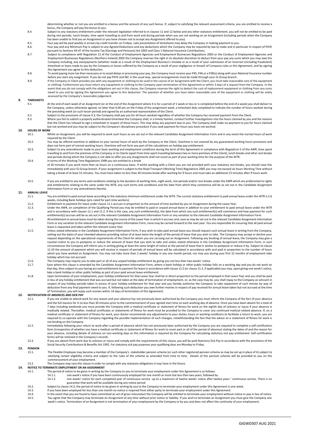determining whether or not you are entitled to a bonus and the amount of any such bonus. If, subject to satisfying the relevant assessment criteria, you are entitled to receive a<br>bonus, the Company will pay the bonus to yo

- 8.4. Subject to any statutory entitlement under the relevant legislation referred to in clause[s 11](#page-22-2) an[d 12](#page-22-3) below and any other statutory entitlement, you will not be entitled to be paid during rest periods, lunch breaks, time spent travelling to and from work and during periods when you are not working on an Assignment (including periods when the Company has been unable to find you an Assignment or you have chosen not to accept any Assignment offered to you).
- 8.5. Your pay will be paid weekly in arrears by credit transfer on Fridays. Late presentation of timesheets may delay the Company in making payment to you.<br>8.6. Your pay and any Minimum Pay is subject to any Agreed Deducti
- Your pay and any Minimum Pay is subject to any Agreed Deductions and any deductions which the Company may be required by law to make and in particular in respect of PAYE pursuant to Sections 44-47 of the Income Tax (Earnings and Pensions) Act 2003 and Class 1 National Insurance Contributions.
- Subject to compliance with Regulation 12 of the Conduct of Employment Agencies and Employment Businesses Regulations 2003 or the Conduct of Employment Agencies and<br>Employment Businesses Regulations (Northern Ireland) 2005 Company including, any overpayments (whether made as a result of the Employment Business's mistake or as a result of your submission of an incorrect (including fraudulent) timesheet or loans made to you by the Company or losses suffered by the Company as a result of your negligence or breach of Company rules or this Agreement, and by signing this Agreement you agree to this deduction.
- 8.8. To avoid paying more tax than necessary or to avoid delays in processing your pay, the Company must receive your P45, P46 or a P38(s) along with your National Insurance number<br>before you start any assignment. If you d
- 8.9. If the Company or Client provides you with any equipment or clothing to be used in the course of an Assignment with the Client, you must take reasonable care of the equipment or clothing. Furthermore you must return any equipment or clothing to the Company upon termination of this Agreement or within 3 days of a request from the Company. In the event that you do not comply with the obligations set out in this clause, the Company reserves the right to deduct the cost of replacement equipment or clothing from any sums owed to you and by signing this Agreement you agree to this deduction. The question of whether you have taken reasonable care of the equipment or clothing will be solely assessed by the Company's reasonable judgement.

#### **9. TIMESHEETS**

- 9.1. At the end of each week of an Assignment (or at the end of the Assignment where it is for a period of 1 week or less or is completed before the end of a week) you shall deliver to the Company, unless otherwise agreed, no later than 6.00 pm on the Friday of the assignment week, a timesheet duly completed to indicate the number of hours worked during the preceding week (or such lesser period) and signed by an authorised representative of the Client.
- 9.2. Subject to the provisions of claus[e 9.3,](#page-22-4) the Company shall pay you for all hours worked regardless of whether the Company has received payment from the Client.
- <span id="page-22-4"></span>9.3. Where you fail to submit a properly authenticated timesheet the Company shall, in a timely fashion, conduct further investigations into the hours claimed by you and the reasons<br>that the Client has refused to sign a ti but not worked and you may be subject to the Company's disciplinary procedure if you seek payment for hours you have not worked.

#### **10. HOURS OF WORK**

- 10.1. Whilst on Assignment, you will be required to work such hours as are set out in the relevant Candidate Assignment Information Form and in any event the normal hours of work required by the Client. 10.2. You may be offered overtime in addition to your normal hours of work by the Company or the Client. Overtime is not covered by any guaranteed working hours provisions and
- does not form part of normal working hours. Overtime will not form any part of the calculations on holiday pay entitlement.
- 10.3. Subject to any amendments made to your basic working and employment conditions during the term of this Agreement in compliance with Regulation 5 of the AWR, time spent travelling to and from the premises of the Company or its Clients (apart from time spent travelling between two or more premises of the Client), lunch breaks and other rest breaks and periods during which the Company is not able to offer you any Assignments shall not count as part of your working time for the purpose of the WTR. 10.4. In terms of the Working Time Regulations 1998 you are entitled to a break
- of 20 minutes if you work more than six hours on a continuous basis. If whilst working with a Client you are not provided with your statutory rest breaks, you should raise this immediately with your Gi Group branch. If your assignment is subject to the Road Transport (Working Time) Regulations 2005 you may not exceed six hours Working Time without taking a break of at least 15 minutes. You must have taken no less than 30 minutes break after working for 9 hours and must take an additional 15 minutes after 9 hours work.
- 10.5. If you are entitled to any terms and conditions relating to the duration of working time, night work, rest periods and/or rest breaks under the AWR which are preferential to rights and entitlements relating to the same under the WTR, any such terms and conditions and the date from which they commence will be as set out in the Candidate Assignment Information Form or any amendments thereto.

### <span id="page-22-2"></span>**11. ANNUAL LEAVE**

- You are entitled to paid annual leave according to the statutory minimum entitlement under the WTR. The current statutory entitlement to paid annual leave under the WTR is 5.6 weeks, including Bank holidays (pro-rated for part-time workers).
- <span id="page-22-6"></span><span id="page-22-5"></span>11.2. Entitlement to payment for leave under claus[e 11.1](#page-22-5) accrues in proportion to the amount of time worked by you on Assignment during the Leave Year.
- <span id="page-22-7"></span>Under the AWR, on completion of the Qualifying Period you may be entitled to paid or unpaid annual leave in addition to your entitlement to paid annual leave under the WTR<br>and in accordance with clause[s 11.1](#page-22-5) an[d 11.2.](#page-22-6) If t entitlement(s) accrues will be as set out in the relevant Candidate Assignment Information Form or any variation to the relevant Candidate Assignment Information Form.
- 11.4. All entitlement to annual leave must be taken during the course of the Leave Year in which it accrues and, save as may be set out in the relevant Candidate Assignment Information Form or any variation to the relevant Candidate Assignment Information Form, none may be carried forward to the next year. You are responsible for ensuring that all paid annual leave is requested and taken within the relevant Leave Year.
- 11.5. Unless stated otherwise in the Candidate Assignment Information Form, if you wish to take paid annual leave you should request such annual leave in writing from the Company, setting out the dates of your intended absence providing notice of at least twice the length of the period of leave that you wish to take. The Company may accept or decline your request depending on the operational requirements of the Client for whom you are carrying out an Assignment. Following any booking of annual leave, the Company may give a counter-notice to you to postpone or reduce the amount of leave that you wish to take and unless stated otherwise in the Candidate Assignment Information Form, in such circumstances the Company will inform you in writing giving at least the same length of notice as the period of leave that it wishes to postpone or reduce it by. Subject to clause [11.33](#page-22-7) the amount of payment which you will receive in respect of periods of annual leave will be calculated in accordance with and paid in proportion to the number of hours which you have worked on Assignment. You may not take more than 2 weeks' holiday in any one month period, nor may you during your first 12 months of employment take holiday which has not accrued.
- 11.6. The Company may require you to take part or all of any unpaid holiday entitlement by giving you not less than two weeks' notice.<br>11.7. Save where this clause is amended by the Candidate Assignment Information Form, w
- <span id="page-22-8"></span>Save where this clause is amended by the Candidate Assignment Information Form, where a bank holiday or other public holiday falls on a working day and you do not work on that day, then subject to you having accrued entitlement to payment for leave in accordance with claus[e 11.5](#page-22-8) (or claus[e 11.3](#page-22-7), if applicable) you may, upon giving one week's notice, take a bank holiday or other public holiday as part of your paid annual leave entitlement.
- Upon termination of your employment, your holiday entitlement for that Leave Year shall be in direct proportion to the period employed in that Leave Year and you shall be paid<br>in lieu of any holiday entitlement that was ac respect of any holiday periods taken in excess of your holiday entitlement for that year and you hereby authorise the Company to take repayment of such monies by way of deduction from any final payment owed to you. If, following such deduction you owe further monies in respect of pay received for annual leave taken but not accrued at the time of Termination, you will repay such monies within 14 days of termination of this Agreement.

### <span id="page-22-3"></span>**12. NOTIFICATION OF ABSENCES AND SICK PAY**

- 12.1. If you are unable to attend work for any reason and your absence has not previously been authorised by the Company you must inform the Company of the fact of your absence and the full reasons for it no less than 30 minutes prior to the commencement of your agreed start time on each working day of absence. Once you have been absent for a total of 7 days including weekends you must provide the Company with a medical certificate or statement of fitness for work on the eighth day of sickness or injury if your absence is<br>medically related. Thereafter, medical certifica medical certificate or statement of fitness for work, your doctor recommends any adjustments to your duties, hours or working conditions to facilitate a return to work, you are required to co-operate with the Company regarding the possible implementation of such changes, notwithstanding the fact that the advice on a statement of fitness for work is not binding on the Company.
- 12.2. Immediately following your return to work after a period of absence which has not previously been authorised by the Company you are required to complete a self-certification form (irrespective of whether you have a medical certificate or statement of fitness for work to cover part or all of the period of absence) stating the dates of and the reason for your absence, including details of sickness on non-working days as this information is required by the Company for calculating statutory sick pay entitlement. Self-certification forms will be retained in the Company's records.
- 12.3. If you are absent from work due to sickness or injury and comply with the requirements of this clause, you will be paid Statutory Sick Pay in accordance with the provisions of the Social Security Contributions & Benefits Act 1992. For statutory sick pay purposes your qualifying days are Monday to Friday.

### **13. PENSION**

- The Flexible Employee may become a member of the Company's stakeholder pension scheme (or such other registered pension scheme as may be set up in place of it) subject to satisfying certain eligibility criteria and subject to the rules of the scheme as amended from time to time. Details of the pension scheme will be provided to you on the commencement of your employment.
- 13.2. The Company may vary this clause in order to comply with any statutory obligations it may have in the future.

### <span id="page-22-0"></span>**14. NOTICE TO TERMINATE EMPLOYMENT OR AN ASSIGNMENT**<br>14.1. The period of notice to be given in writing by

- The period of notice to be given in writing by the Company to you to terminate your employment under this Agreement is as follows:
- 14.1.1. one week's notice if you have been continuously employed for one month or more but less than two years; followed by<br>14.1.2. one weeks' notice for each completed vear of continuous service up to a maximum of twelve
- one weeks' notice for each completed year of continuous service up to a maximum of twelve weeks' notice after twelve years ' continuous service. There is no<br>One weeks' notice for each completed year of continuous service u guarantee that work will be available during any notice period.
- 14.2. Subject to claus[e 14.3,](#page-22-9) the period of notice to be given in writing by you to the Company to terminate your employment under this Agreement is one week.<br>14.3. If you have been employed for less than one month no noti
- <span id="page-22-9"></span>14.3. If you have been employed for less than one month no notice is required from either party to terminate your employment under this Agreement.<br>14.4 In the event that you are found to have committed an act of gross misc
- <span id="page-22-1"></span>I4.4. In the event that you are found to have committed an act of gross misconduct the Company will be entitled to terminate your employment without notice or pay in lieu of notice.<br>14.5. You agree that the Company may ter week's notice. Termination of an Assignment is not termination of your employment by the Company or by you and does not affect the continuity of your employment.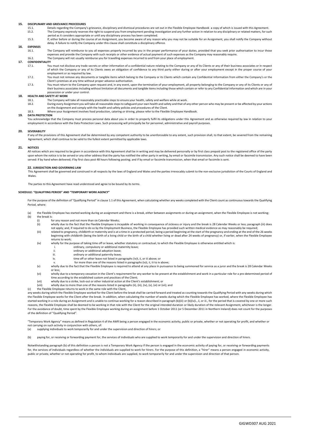### **15. DISCIPLINARY AND GRIEVANCE PROCEDURES**

- 15.1. Details regarding the Company's grievance, disciplinary and dismissal procedures are set out in the Flexible Employee Handbook a copy of which is issued with this Agreement.<br>15.2 The Company expressly reserves the ri The Company expressly reserves the right to suspend you from employment pending investigation and any further action in relation to any disciplinary or related matters, for such
	- period as it considers appropriate or until any disciplinary process has been completed.
- 15.3. If, either before or during the course of an Assignment, you become aware of any reason why you may not be suitable for an Assignment, you shall notify the Company without delay. A failure to notify the Company under this clause shall constitute a disciplinary offence.

### **16. EXPENSES**

The Company will reimburse to you all expenses properly incurred by you in the proper performance of your duties, provided that you seek prior authorisation to incur those expenses and provide the Company with such receipts or other evidence of actual payment of such expenses as the Company may reasonably require. 16.2. The Company will not usually reimburse you for travelling expenses incurred to and from your place of employment.

### **17. CONFIDENTIALITY**

- You must not disclose any trade secrets or other information of a confidential nature relating to the Company or any of its Clients or any of their business associates or in respect of which the Company or any of its Clients owes an obligation of confidence to any third party either during or after your employment except in the proper course of your employment or as required by law.
- 17.2. You must not remove any documents or tangible items which belong to the Company or its Clients which contain any Confidential Information from either the Company's or the Client's premises at any time without proper advance authorisation.
- 17.3. You must return to the Company upon request and, in any event, upon the termination of your employment, all property belonging to the Company or any of its Clients or any of their business associates including without limitation all documents and tangible items including those which contain or refer to any Confidential Information and which are in your possession or under your control.

### **18. HEALTH AND SAFETY AT WORK**<br>18.1 **The Company w**

- The Company will take all reasonably practicable steps to ensure your health, safety and welfare while at work.
- 18.2. During every Assignment you will take all reasonable steps to safeguard your own health and safety and that of any other person who may be present or be affected by your actions on the Assignment and comply with the example and comply with the health and safety policies and procedures of the Client.
- 18.3. Where your Assignment involves food production, catering or driving, please refer to the Flexible Employee Handbook.

#### **19. DATA PROTECTION**

You acknowledge that the Company must process personal data about you in order to properly fulfil its obligations under this Agreement and as otherwise required by law in relation to your employment in accordance with the Data Protection Laws. Such processing will principally be for personnel, administrative and payroll purposes.

#### **20. SEVERABILITY**

If any of the provisions of this Agreement shall be determined by any competent authority to be unenforceable to any extent, such provision shall, to that extent, be severed from the remaining Agreement, which shall continue to be valid to the fullest extent permitted by applicable laws.

#### **21. NOTICES**

All notices which are required to be given in accordance with this Agreement shall be in writing and may be delivered personally or by first class prepaid post to the registered office of the party upon whom the notice is to be served or any other address that the party has notified the other party in writing, by email or facsimile transmission. Any such notice shall be deemed to have been served: if by hand when delivered; if by first class post 48 hours following posting; and if by email or facsimile transmission, when that email or facsimile is sent.

#### **22. JURISDICTION AND GOVERNING LAW**

This Agreement shall be governed and construed in all respects by the laws of England and Wales and the parties irrevocably submit to the non-exclusive jurisdiction of the Courts of England and Wales.

The parties to this Agreement have read understood and agree to be bound by its terms.

#### **SCHEDULE: "QUALIFYING PERIOD" AND "TEMPORARY WORK AGENCY"**

For the purpose of the definition of "Qualifying Period" in clause [1.1](#page-19-0) of this Agreement, when calculating whether any weeks completed with the Client count as continuous towards the Qualifying Period, where:

- (a) the Flexible Employee has started working during an assignment and there is a break, either between assignments or during an assignment, when the Flexible Employee is not working; (b) the break is
	- (i) for any reason and not more than six Calendar Weeks;<br>(ii) wholly due to the fact that the Flexible Employee is ine
	- wholly due to the fact that the Flexible Employee is incapable of working in consequence of sickness or injury and the break is 28 Calendar Weeks or less; paragraph (iii) does not apply; and, if required to do so by the Employment Business, the Flexible Employee has provided such written medical evidence as may reasonably be required;
	- (iii) related to pregnancy, childbirth or maternity and is at a time in a protected period, being a period beginning at the start of the pregnancy and ending at the end of the 26 weeks beginning with childbirth (being the birth of a living child or the birth of a child whether living or dead after 24 weeks of pregnancy) or, if earlier, when the Flexible Employee returns to work;
	- (iv) wholly for the purpose of taking time off or leave, whether statutory or contractual, to which the Flexible Employee is otherwise entitled which is<br>ordinary compulsory or additional maternity leave:
		- ordinary, compulsory or additional maternity leave;
		- ii. ordinary or additional adoption leave;
		- iii. ordinary or additional paternity leave;<br>iv. time off or other leave not listed in pa
			- time off or other leave not listed in paragraphs (iv)I, ii, or iii above; or
			- for more than one of the reasons listed in paragraphs (iv)i, ii, iii to iv above;
	- (v) wholly due to the fact that the Flexible Employee is required to attend at any place in pursuance to being summoned for service as a juror and the break is 28 Calendar Weeks or less;
	- (vi) wholly due to a temporary cessation in the Client's requirement for any worker to be present at the establishment and work in a particular role for a pre-determined period of time according to the established custom and practices of the Client;
	- (vii) wholly due to a strike, lock-out or other industrial action at the Client's establishment; or
	- (viii) wholly due to more than one of the reasons listed in paragraphs (ii), (iii), (iv), (v), (vi) or (vii); and
- (c) the Flexible Employee returns to work in the same role with the Client,

any weeks during which the Flexible Employee worked for the Client before the break shall be carried forward and treated as counting towards the Qualifying Period with any weeks during which the Flexible Employee works for the Client after the break. In addition, when calculating the number of weeks during which the Flexible Employee has worked, where the Flexible Employee has started working in a role during an Assignment and is unable to continue working for a reason described in paragraph (b)(iii) or (b)(iv)i., ii, or iii., for the period that is covered by one or more such reasons, the Flexible Employee shall be deemed to be working in that role with the Client for the original intended duration or likely duration of the relevant Assignment, whichever is the longer. For the avoidance of doubt, time spent by the Flexible Employee working during an assignment before 1 October 2011 (or 5 December 2011 in Northern Ireland) does not count for the purposes of the definition of "Qualifying Period".

"Temporary Work Agency" means as defined in Regulation 4 of the AWR being a person engaged in the economic activity, public or private, whether or not operating for profit, and whether or not carrying on such activity in conjunction with others, of:<br>(a) supplying individuals to work temporarily for and un

supplying individuals to work temporarily for and under the supervision and direction of hirers; or

(b) paying for, or receiving or forwarding payment for, the services of individuals who are supplied to work temporarily for and under the supervision and direction of hirers.

Notwithstanding paragraph (b) of this definition a person is not a Temporary Work Agency if the person is engaged in the economic activity of paying for, or receiving or forwarding payments for, the services of individuals regardless of whether the individuals are supplied to work for hirers. For the purpose of this definition, a "hirer" means a person engaged in economic activity, public or private, whether or not operating for profit, to whom individuals are supplied, to work temporarily for and under the supervision and direction of that person.